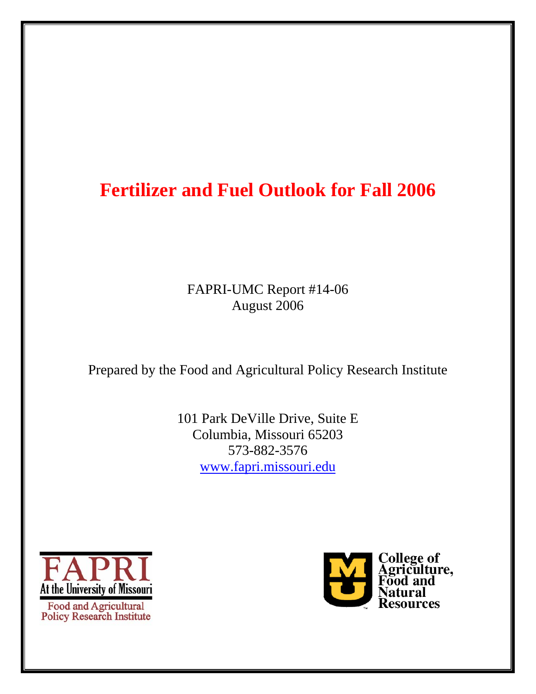# **Fertilizer and Fuel Outlook for Fall 2006**

FAPRI-UMC Report #14-06 August 2006

Prepared by the Food and Agricultural Policy Research Institute

101 Park DeVille Drive, Suite E Columbia, Missouri 65203 573-882-3576 www.fapri.missouri.edu



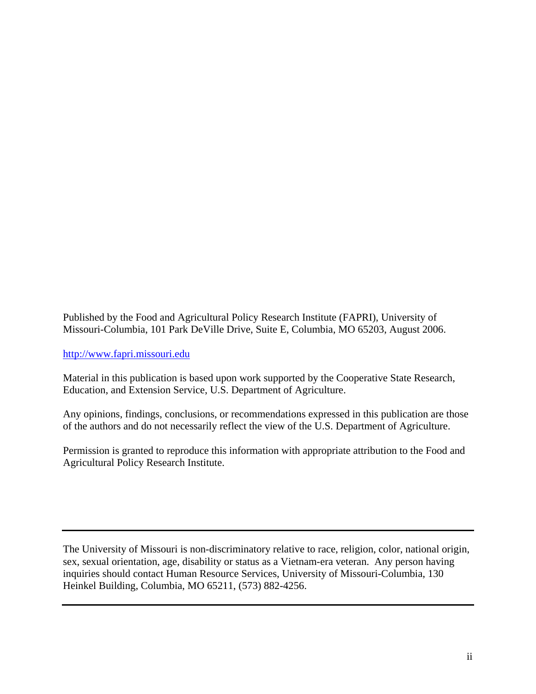Published by the Food and Agricultural Policy Research Institute (FAPRI), University of Missouri-Columbia, 101 Park DeVille Drive, Suite E, Columbia, MO 65203, August 2006.

http://www.fapri.missouri.edu

Material in this publication is based upon work supported by the Cooperative State Research, Education, and Extension Service, U.S. Department of Agriculture.

Any opinions, findings, conclusions, or recommendations expressed in this publication are those of the authors and do not necessarily reflect the view of the U.S. Department of Agriculture.

Permission is granted to reproduce this information with appropriate attribution to the Food and Agricultural Policy Research Institute.

The University of Missouri is non-discriminatory relative to race, religion, color, national origin, sex, sexual orientation, age, disability or status as a Vietnam-era veteran. Any person having inquiries should contact Human Resource Services, University of Missouri-Columbia, 130 Heinkel Building, Columbia, MO 65211, (573) 882-4256.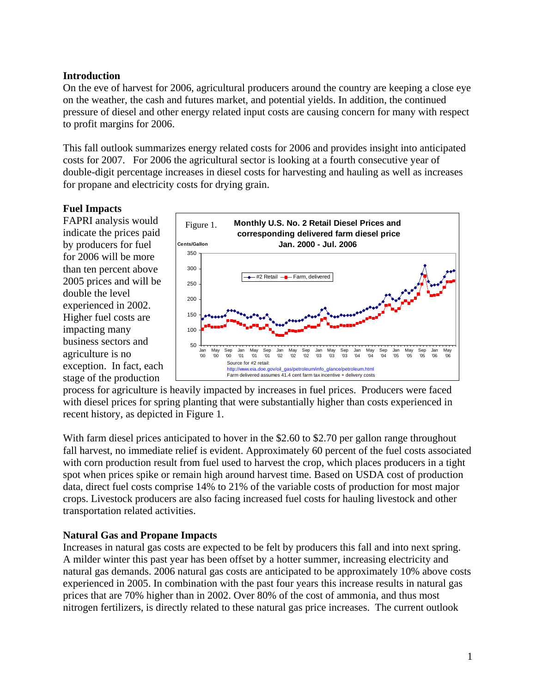# **Introduction**

On the eve of harvest for 2006, agricultural producers around the country are keeping a close eye on the weather, the cash and futures market, and potential yields. In addition, the continued pressure of diesel and other energy related input costs are causing concern for many with respect to profit margins for 2006.

This fall outlook summarizes energy related costs for 2006 and provides insight into anticipated costs for 2007. For 2006 the agricultural sector is looking at a fourth consecutive year of double-digit percentage increases in diesel costs for harvesting and hauling as well as increases for propane and electricity costs for drying grain.

## **Fuel Impacts**

FAPRI analysis would indicate the prices paid by producers for fuel for 2006 will be more than ten percent above 2005 prices and will be double the level experienced in 2002. Higher fuel costs are impacting many business sectors and agriculture is no exception. In fact, each stage of the production



process for agriculture is heavily impacted by increases in fuel prices. Producers were faced with diesel prices for spring planting that were substantially higher than costs experienced in recent history, as depicted in Figure 1.

With farm diesel prices anticipated to hover in the \$2.60 to \$2.70 per gallon range throughout fall harvest, no immediate relief is evident. Approximately 60 percent of the fuel costs associated with corn production result from fuel used to harvest the crop, which places producers in a tight spot when prices spike or remain high around harvest time. Based on USDA cost of production data, direct fuel costs comprise 14% to 21% of the variable costs of production for most major crops. Livestock producers are also facing increased fuel costs for hauling livestock and other transportation related activities.

### **Natural Gas and Propane Impacts**

Increases in natural gas costs are expected to be felt by producers this fall and into next spring. A milder winter this past year has been offset by a hotter summer, increasing electricity and natural gas demands. 2006 natural gas costs are anticipated to be approximately 10% above costs experienced in 2005. In combination with the past four years this increase results in natural gas prices that are 70% higher than in 2002. Over 80% of the cost of ammonia, and thus most nitrogen fertilizers, is directly related to these natural gas price increases. The current outlook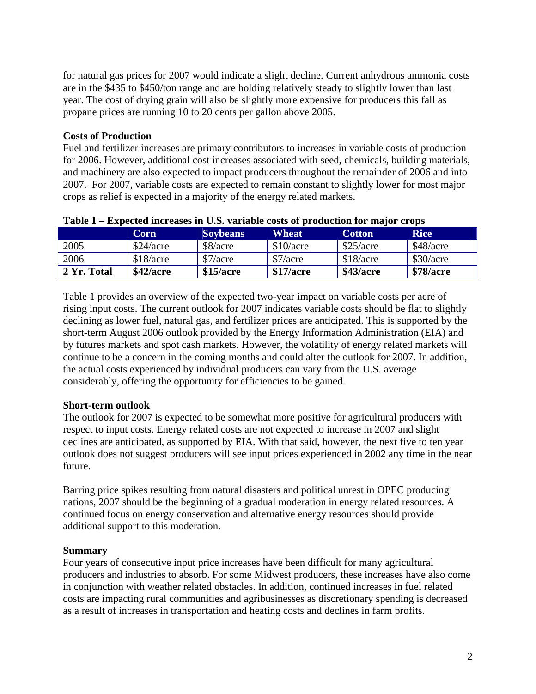for natural gas prices for 2007 would indicate a slight decline. Current anhydrous ammonia costs are in the \$435 to \$450/ton range and are holding relatively steady to slightly lower than last year. The cost of drying grain will also be slightly more expensive for producers this fall as propane prices are running 10 to 20 cents per gallon above 2005.

# **Costs of Production**

Fuel and fertilizer increases are primary contributors to increases in variable costs of production for 2006. However, additional cost increases associated with seed, chemicals, building materials, and machinery are also expected to impact producers throughout the remainder of 2006 and into 2007. For 2007, variable costs are expected to remain constant to slightly lower for most major crops as relief is expected in a majority of the energy related markets.

| .<br>Lapected merchasts in City, variable costs of progression for major crops |           |                 |           |               |                  |
|--------------------------------------------------------------------------------|-----------|-----------------|-----------|---------------|------------------|
|                                                                                | Corn      | <b>Soybeans</b> | Wheat     | <b>Cotton</b> | <b>Rice</b>      |
| 2005                                                                           | \$24/acre | \$8/acre        | \$10/acre | \$25/acre     | \$48/acre        |
| 2006                                                                           | \$18/acre | \$7/acre        | \$7/acre  | \$18/acre     | \$30/acre        |
| 2 Yr. Total                                                                    | \$42/acre | \$15/acre       | \$17/acre | \$43/acre     | <b>\$78/acre</b> |

#### **Table 1 – Expected increases in U.S. variable costs of production for major crops**

Table 1 provides an overview of the expected two-year impact on variable costs per acre of rising input costs. The current outlook for 2007 indicates variable costs should be flat to slightly declining as lower fuel, natural gas, and fertilizer prices are anticipated. This is supported by the short-term August 2006 outlook provided by the Energy Information Administration (EIA) and by futures markets and spot cash markets. However, the volatility of energy related markets will continue to be a concern in the coming months and could alter the outlook for 2007. In addition, the actual costs experienced by individual producers can vary from the U.S. average considerably, offering the opportunity for efficiencies to be gained.

### **Short-term outlook**

The outlook for 2007 is expected to be somewhat more positive for agricultural producers with respect to input costs. Energy related costs are not expected to increase in 2007 and slight declines are anticipated, as supported by EIA. With that said, however, the next five to ten year outlook does not suggest producers will see input prices experienced in 2002 any time in the near future.

Barring price spikes resulting from natural disasters and political unrest in OPEC producing nations, 2007 should be the beginning of a gradual moderation in energy related resources. A continued focus on energy conservation and alternative energy resources should provide additional support to this moderation.

### **Summary**

Four years of consecutive input price increases have been difficult for many agricultural producers and industries to absorb. For some Midwest producers, these increases have also come in conjunction with weather related obstacles. In addition, continued increases in fuel related costs are impacting rural communities and agribusinesses as discretionary spending is decreased as a result of increases in transportation and heating costs and declines in farm profits.